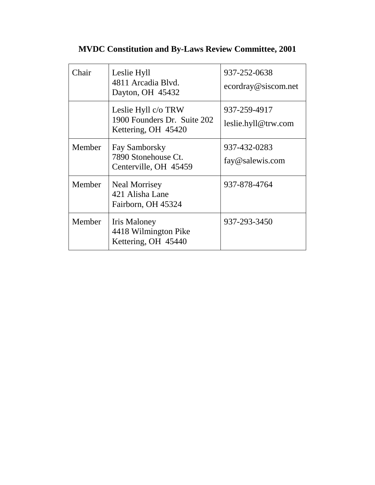| <b>MVDC Constitution and By-Laws Review Committee, 2001</b> |  |  |
|-------------------------------------------------------------|--|--|
|                                                             |  |  |

| Chair  | Leslie Hyll<br>4811 Arcadia Blvd.<br>Dayton, OH 45432                     | 937-252-0638<br>ecordray@siscom.net |
|--------|---------------------------------------------------------------------------|-------------------------------------|
|        | Leslie Hyll c/o TRW<br>1900 Founders Dr. Suite 202<br>Kettering, OH 45420 | 937-259-4917<br>leslie.hyll@trw.com |
| Member | Fay Samborsky<br>7890 Stonehouse Ct.<br>Centerville, OH 45459             | 937-432-0283<br>fay@salewis.com     |
| Member | <b>Neal Morrisey</b><br>421 Alisha Lane<br>Fairborn, OH 45324             | 937-878-4764                        |
| Member | Iris Maloney<br>4418 Wilmington Pike<br>Kettering, OH 45440               | 937-293-3450                        |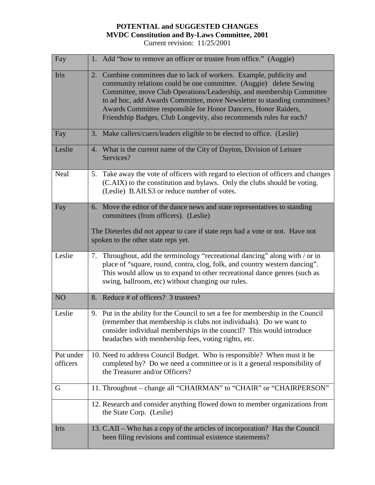| Fay                   | 1. Add "how to remove an officer or trustee from office." (Auggie)                                                                                                                                                                                                                                                                                                                                                                     |
|-----------------------|----------------------------------------------------------------------------------------------------------------------------------------------------------------------------------------------------------------------------------------------------------------------------------------------------------------------------------------------------------------------------------------------------------------------------------------|
| Iris                  | 2. Combine committees due to lack of workers. Example, publicity and<br>community relations could be one committee. (Auggie) delete Sewing<br>Committee, move Club Operations/Leadership, and membership Committee<br>to ad hoc, add Awards Committee, move Newsletter to standing committees?<br>Awards Committee responsible for Honor Dancers, Honor Raiders,<br>Friendship Badges, Club Longevity, also recommends rules for each? |
| Fay                   | 3. Make callers/cuers/leaders eligible to be elected to office. (Leslie)                                                                                                                                                                                                                                                                                                                                                               |
| Leslie                | 4. What is the current name of the City of Dayton, Division of Leisure<br>Services?                                                                                                                                                                                                                                                                                                                                                    |
| Neal                  | 5. Take away the vote of officers with regard to election of officers and changes<br>(C.AIX) to the constitution and bylaws. Only the clubs should be voting.<br>(Leslie) B.AII.S3 or reduce number of votes.                                                                                                                                                                                                                          |
| Fay                   | 6. Move the editor of the dance news and state representatives to standing<br>committees (from officers). (Leslie)<br>The Dieterles did not appear to care if state reps had a vote or not. Have not<br>spoken to the other state reps yet.                                                                                                                                                                                            |
| Leslie                | 7. Throughout, add the terminology "recreational dancing" along with / or in<br>place of "square, round, contra, clog, folk, and country western dancing".<br>This would allow us to expand to other recreational dance genres (such as<br>swing, ballroom, etc) without changing our rules.                                                                                                                                           |
| NO <sub>1</sub>       | 8. Reduce # of officers? 3 trustees?                                                                                                                                                                                                                                                                                                                                                                                                   |
| Leslie                | 9. Put in the ability for the Council to set a fee for membership in the Council<br>(remember that membership is clubs not individuals). Do we want to<br>consider individual memberships in the council? This would introduce<br>headaches with membership fees, voting rights, etc.                                                                                                                                                  |
| Put under<br>officers | 10. Need to address Council Budget. Who is responsible? When must it be<br>completed by? Do we need a committee or is it a general responsibility of<br>the Treasurer and/or Officers?                                                                                                                                                                                                                                                 |
| G                     | 11. Throughout – change all "CHAIRMAN" to "CHAIR" or "CHAIRPERSON"                                                                                                                                                                                                                                                                                                                                                                     |
|                       | 12. Research and consider anything flowed down to member organizations from<br>the State Corp. (Leslie)                                                                                                                                                                                                                                                                                                                                |
| Iris                  | 13. C.AII – Who has a copy of the articles of incorporation? Has the Council<br>been filing revisions and continual existence statements?                                                                                                                                                                                                                                                                                              |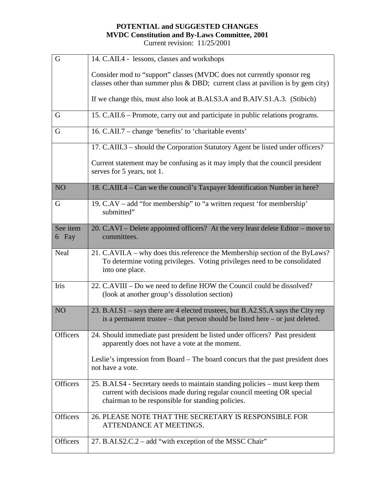| G                 | 14. C.AII.4 - lessons, classes and workshops                                                                                                                                                               |
|-------------------|------------------------------------------------------------------------------------------------------------------------------------------------------------------------------------------------------------|
|                   | Consider mod to "support" classes (MVDC does not currently sponsor reg<br>classes other than summer plus $&$ DBD; current class at pavilion is by gem city)                                                |
|                   | If we change this, must also look at B.AI.S3.A and B.AIV.S1.A.3. (Stibich)                                                                                                                                 |
| G                 | 15. C.AII.6 – Promote, carry out and participate in public relations programs.                                                                                                                             |
| G                 | 16. C.AII.7 - change 'benefits' to 'charitable events'                                                                                                                                                     |
|                   | 17. C.AIII.3 - should the Corporation Statutory Agent be listed under officers?                                                                                                                            |
|                   | Current statement may be confusing as it may imply that the council president<br>serves for 5 years, not 1.                                                                                                |
| NO <sub>1</sub>   | 18. C.AIII.4 – Can we the council's Taxpayer Identification Number in here?                                                                                                                                |
| G                 | 19. C.AV – add "for membership" to "a written request 'for membership'<br>submitted"                                                                                                                       |
| See item<br>6 Fay | 20. C.AVI – Delete appointed officers? At the very least delete Editor – move to<br>committees.                                                                                                            |
| Neal              | 21. C.AVII.A – why does this reference the Membership section of the ByLaws?<br>To determine voting privileges. Voting privileges need to be consolidated<br>into one place.                               |
| Iris              | 22. C.AVIII – Do we need to define HOW the Council could be dissolved?<br>(look at another group's dissolution section)                                                                                    |
| NO <sub>1</sub>   | 23. B.AI.S1 – says there are 4 elected trustees, but B.A2.S5.A says the City rep<br>is a permanent trustee $-$ that person should be listed here $-$ or just deleted.                                      |
| Officers          | 24. Should immediate past president be listed under officers? Past president<br>apparently does not have a vote at the moment.                                                                             |
|                   | Leslie's impression from Board – The board concurs that the past president does<br>not have a vote.                                                                                                        |
| <b>Officers</b>   | 25. B.AI.S4 - Secretary needs to maintain standing policies – must keep them<br>current with decisions made during regular council meeting OR special<br>chairman to be responsible for standing policies. |
| Officers          | 26. PLEASE NOTE THAT THE SECRETARY IS RESPONSIBLE FOR<br>ATTENDANCE AT MEETINGS.                                                                                                                           |
| <b>Officers</b>   | 27. B.AI.S2.C.2 – add "with exception of the MSSC Chair"                                                                                                                                                   |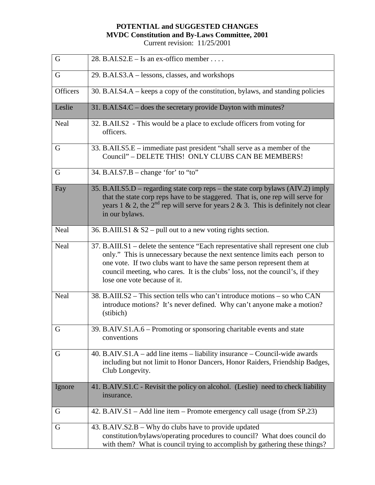| G               | 28. B.AI.S2.E – Is an ex-offico member                                                                                                                                                                                                                                                                                                                    |
|-----------------|-----------------------------------------------------------------------------------------------------------------------------------------------------------------------------------------------------------------------------------------------------------------------------------------------------------------------------------------------------------|
| G               | 29. B.AI.S3.A – lessons, classes, and workshops                                                                                                                                                                                                                                                                                                           |
| <b>Officers</b> | 30. B.AI.S4.A – keeps a copy of the constitution, bylaws, and standing policies                                                                                                                                                                                                                                                                           |
| Leslie          | 31. B.AI.S4.C – does the secretary provide Dayton with minutes?                                                                                                                                                                                                                                                                                           |
| Neal            | 32. B.AII.S2 - This would be a place to exclude officers from voting for<br>officers.                                                                                                                                                                                                                                                                     |
| G               | 33. B.AII.S5.E – immediate past president "shall serve as a member of the<br>Council" - DELETE THIS! ONLY CLUBS CAN BE MEMBERS!                                                                                                                                                                                                                           |
| G               | 34. B.AI.S7.B – change 'for' to "to"                                                                                                                                                                                                                                                                                                                      |
| Fay             | 35. B.AII.S5.D – regarding state corp reps – the state corp bylaws (AIV.2) imply<br>that the state corp reps have to be staggered. That is, one rep will serve for<br>years 1 & 2, the $2nd$ rep will serve for years 2 & 3. This is definitely not clear<br>in our bylaws.                                                                               |
| Neal            | 36. B.AIII.S1 & S2 – pull out to a new voting rights section.                                                                                                                                                                                                                                                                                             |
| Neal            | 37. B.AIII.S1 - delete the sentence "Each representative shall represent one club<br>only." This is unnecessary because the next sentence limits each person to<br>one vote. If two clubs want to have the same person represent them at<br>council meeting, who cares. It is the clubs' loss, not the council's, if they<br>lose one vote because of it. |
| Neal            | 38. B.AIII.S2 – This section tells who can't introduce motions – so who CAN<br>introduce motions? It's never defined. Why can't anyone make a motion?<br>(stibich)                                                                                                                                                                                        |
| G               | 39. B.AIV.S1.A.6 – Promoting or sponsoring charitable events and state<br>conventions                                                                                                                                                                                                                                                                     |
| G               | 40. B.AIV.S1.A – add line items – liability insurance – Council-wide awards<br>including but not limit to Honor Dancers, Honor Raiders, Friendship Badges,<br>Club Longevity.                                                                                                                                                                             |
| Ignore          | 41. B.AIV.S1.C - Revisit the policy on alcohol. (Leslie) need to check liability<br>insurance.                                                                                                                                                                                                                                                            |
| G               | 42. B.AIV.S1 - Add line item - Promote emergency call usage (from SP.23)                                                                                                                                                                                                                                                                                  |
| G               | 43. B.AIV.S2.B – Why do clubs have to provide updated<br>constitution/bylaws/operating procedures to council? What does council do<br>with them? What is council trying to accomplish by gathering these things?                                                                                                                                          |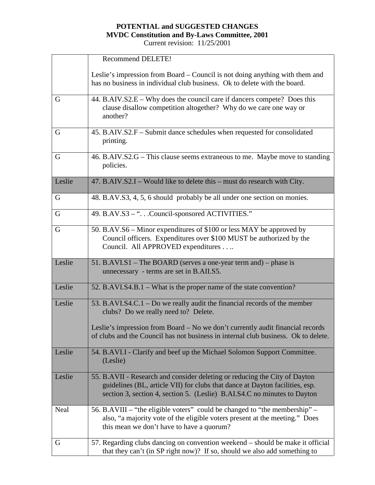|        | <b>Recommend DELETE!</b>                                                                                                                                                                                                                                                                  |  |  |
|--------|-------------------------------------------------------------------------------------------------------------------------------------------------------------------------------------------------------------------------------------------------------------------------------------------|--|--|
|        | Leslie's impression from Board – Council is not doing anything with them and<br>has no business in individual club business. Ok to delete with the board.                                                                                                                                 |  |  |
| G      | 44. B.AIV.S2.E – Why does the council care if dancers compete? Does this<br>clause disallow competition altogether? Why do we care one way or<br>another?                                                                                                                                 |  |  |
| G      | 45. B.AIV.S2.F - Submit dance schedules when requested for consolidated<br>printing.                                                                                                                                                                                                      |  |  |
| G      | 46. B.AIV.S2.G – This clause seems extraneous to me. Maybe move to standing<br>policies.                                                                                                                                                                                                  |  |  |
| Leslie | 47. B.AIV.S2.I – Would like to delete this – must do research with City.                                                                                                                                                                                                                  |  |  |
| G      | 48. B.AV.S3, 4, 5, 6 should probably be all under one section on monies.                                                                                                                                                                                                                  |  |  |
| G      | 49. B.AV.S3 - ". Council-sponsored ACTIVITIES."                                                                                                                                                                                                                                           |  |  |
| G      | 50. B.AV.S6 – Minor expenditures of \$100 or less MAY be approved by<br>Council officers. Expenditures over \$100 MUST be authorized by the<br>Council. All APPROVED expenditures.                                                                                                        |  |  |
| Leslie | 51. B.AVI.S1 – The BOARD (serves a one-year term and) – phase is<br>unnecessary - terms are set in B.AII.S5.                                                                                                                                                                              |  |  |
| Leslie | 52. B.AVI.S4.B.1 – What is the proper name of the state convention?                                                                                                                                                                                                                       |  |  |
| Leslie | 53. B.AVI.S4.C.1 – Do we really audit the financial records of the member<br>clubs? Do we really need to? Delete.<br>Leslie's impression from Board - No we don't currently audit financial records<br>of clubs and the Council has not business in internal club business. Ok to delete. |  |  |
|        |                                                                                                                                                                                                                                                                                           |  |  |
| Leslie | 54. B.AVI.I - Clarify and beef up the Michael Solomon Support Committee.<br>(Leslie)                                                                                                                                                                                                      |  |  |
| Leslie | 55. B.AVII - Research and consider deleting or reducing the City of Dayton<br>guidelines (BL, article VII) for clubs that dance at Dayton facilities, esp.<br>section 3, section 4, section 5. (Leslie) B.AI.S4.C no minutes to Dayton                                                    |  |  |
| Neal   | 56. B.AVIII – "the eligible voters" could be changed to "the membership" –<br>also, "a majority vote of the eligible voters present at the meeting." Does<br>this mean we don't have to have a quorum?                                                                                    |  |  |
| G      |                                                                                                                                                                                                                                                                                           |  |  |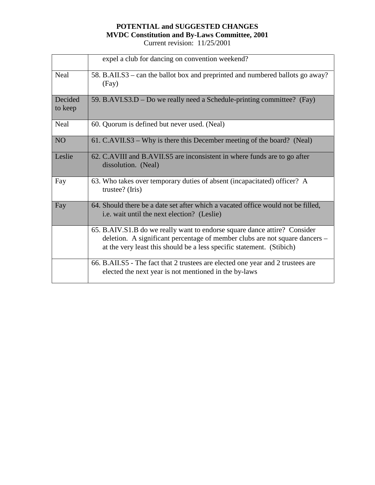|                    | expel a club for dancing on convention weekend?                                                                                                                                                                                   |
|--------------------|-----------------------------------------------------------------------------------------------------------------------------------------------------------------------------------------------------------------------------------|
| Neal               | 58. B.AII.S3 – can the ballot box and preprinted and numbered ballots go away?<br>(Fay)                                                                                                                                           |
| Decided<br>to keep | 59. B.AVI.S3.D – Do we really need a Schedule-printing committee? (Fay)                                                                                                                                                           |
| Neal               | 60. Quorum is defined but never used. (Neal)                                                                                                                                                                                      |
| N <sub>O</sub>     | 61. C.AVII.S3 – Why is there this December meeting of the board? (Neal)                                                                                                                                                           |
| Leslie             | 62. C.AVIII and B.AVII.S5 are inconsistent in where funds are to go after<br>dissolution. (Neal)                                                                                                                                  |
| Fay                | 63. Who takes over temporary duties of absent (incapacitated) officer? A<br>trustee? (Iris)                                                                                                                                       |
| Fay                | 64. Should there be a date set after which a vacated office would not be filled,<br>i.e. wait until the next election? (Leslie)                                                                                                   |
|                    | 65. B.AIV.S1.B do we really want to endorse square dance attire? Consider<br>deletion. A significant percentage of member clubs are not square dancers -<br>at the very least this should be a less specific statement. (Stibich) |
|                    | 66. B.AII.S5 - The fact that 2 trustees are elected one year and 2 trustees are<br>elected the next year is not mentioned in the by-laws                                                                                          |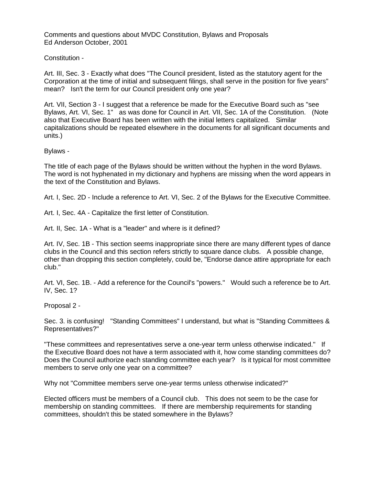Comments and questions about MVDC Constitution, Bylaws and Proposals Ed Anderson October, 2001

### Constitution -

Art. III, Sec. 3 - Exactly what does "The Council president, listed as the statutory agent for the Corporation at the time of initial and subsequent filings, shall serve in the position for five years" mean? Isn't the term for our Council president only one year?

Art. VII, Section 3 - I suggest that a reference be made for the Executive Board such as "see Bylaws, Art. VI, Sec. 1" as was done for Council in Art. VII, Sec. 1A of the Constitution. (Note also that Executive Board has been written with the initial letters capitalized. Similar capitalizations should be repeated elsewhere in the documents for all significant documents and units.)

### Bylaws -

The title of each page of the Bylaws should be written without the hyphen in the word Bylaws. The word is not hyphenated in my dictionary and hyphens are missing when the word appears in the text of the Constitution and Bylaws.

Art. I, Sec. 2D - Include a reference to Art. VI, Sec. 2 of the Bylaws for the Executive Committee.

Art. I, Sec. 4A - Capitalize the first letter of Constitution.

Art. II, Sec. 1A - What is a "leader" and where is it defined?

Art. IV, Sec. 1B - This section seems inappropriate since there are many different types of dance clubs in the Council and this section refers strictly to square dance clubs. A possible change, other than dropping this section completely, could be, "Endorse dance attire appropriate for each club."

Art. VI, Sec. 1B. - Add a reference for the Council's "powers." Would such a reference be to Art. IV, Sec. 1?

Proposal 2 -

Sec. 3. is confusing! "Standing Committees" I understand, but what is "Standing Committees & Representatives?"

"These committees and representatives serve a one-year term unless otherwise indicated." If the Executive Board does not have a term associated with it, how come standing committees do? Does the Council authorize each standing committee each year? Is it typical for most committee members to serve only one year on a committee?

Why not "Committee members serve one-year terms unless otherwise indicated?"

Elected officers must be members of a Council club. This does not seem to be the case for membership on standing committees. If there are membership requirements for standing committees, shouldn't this be stated somewhere in the Bylaws?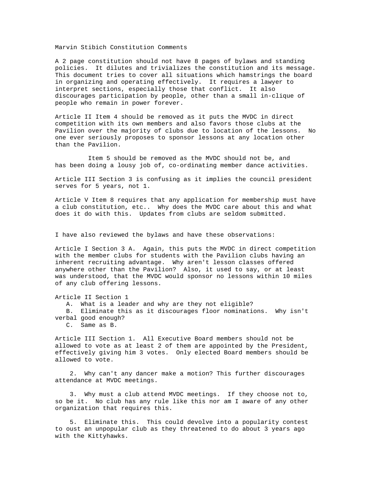Marvin Stibich Constitution Comments

A 2 page constitution should not have 8 pages of bylaws and standing policies. It dilutes and trivializes the constitution and its message. This document tries to cover all situations which hamstrings the board in organizing and operating effectively. It requires a lawyer to interpret sections, especially those that conflict. It also discourages participation by people, other than a small in-clique of people who remain in power forever.

Article II Item 4 should be removed as it puts the MVDC in direct competition with its own members and also favors those clubs at the Pavilion over the majority of clubs due to location of the lessons. No one ever seriously proposes to sponsor lessons at any location other than the Pavilion.

 Item 5 should be removed as the MVDC should not be, and has been doing a lousy job of, co-ordinating member dance activities.

Article III Section 3 is confusing as it implies the council president serves for 5 years, not 1.

Article V Item 8 requires that any application for membership must have a club constitution, etc.. Why does the MVDC care about this and what does it do with this. Updates from clubs are seldom submitted.

I have also reviewed the bylaws and have these observations:

Article I Section 3 A. Again, this puts the MVDC in direct competition with the member clubs for students with the Pavilion clubs having an inherent recruiting advantage. Why aren't lesson classes offered anywhere other than the Pavilion? Also, it used to say, or at least was understood, that the MVDC would sponsor no lessons within 10 miles of any club offering lessons.

Article II Section 1

A. What is a leader and why are they not eligible?

 B. Eliminate this as it discourages floor nominations. Why isn't verbal good enough?

C. Same as B.

Article III Section 1. All Executive Board members should not be allowed to vote as at least 2 of them are appointed by the President, effectively giving him 3 votes. Only elected Board members should be allowed to vote.

 2. Why can't any dancer make a motion? This further discourages attendance at MVDC meetings.

 3. Why must a club attend MVDC meetings. If they choose not to, so be it. No club has any rule like this nor am I aware of any other organization that requires this.

 5. Eliminate this. This could devolve into a popularity contest to oust an unpopular club as they threatened to do about 3 years ago with the Kittyhawks.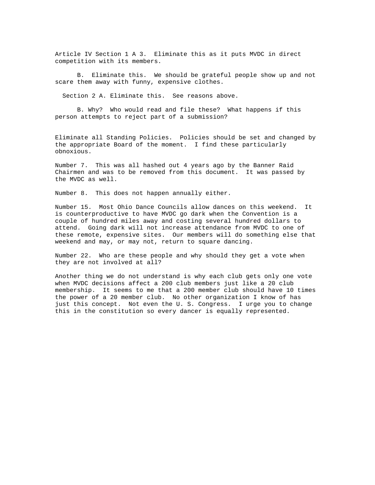Article IV Section 1 A 3. Eliminate this as it puts MVDC in direct competition with its members.

 B. Eliminate this. We should be grateful people show up and not scare them away with funny, expensive clothes.

Section 2 A. Eliminate this. See reasons above.

 B. Why? Who would read and file these? What happens if this person attempts to reject part of a submission?

Eliminate all Standing Policies. Policies should be set and changed by the appropriate Board of the moment. I find these particularly obnoxious.

Number 7. This was all hashed out 4 years ago by the Banner Raid Chairmen and was to be removed from this document. It was passed by the MVDC as well.

Number 8. This does not happen annually either.

Number 15. Most Ohio Dance Councils allow dances on this weekend. It is counterproductive to have MVDC go dark when the Convention is a couple of hundred miles away and costing several hundred dollars to attend. Going dark will not increase attendance from MVDC to one of these remote, expensive sites. Our members will do something else that weekend and may, or may not, return to square dancing.

Number 22. Who are these people and why should they get a vote when they are not involved at all?

Another thing we do not understand is why each club gets only one vote when MVDC decisions affect a 200 club members just like a 20 club membership. It seems to me that a 200 member club should have 10 times the power of a 20 member club. No other organization I know of has just this concept. Not even the U. S. Congress. I urge you to change this in the constitution so every dancer is equally represented.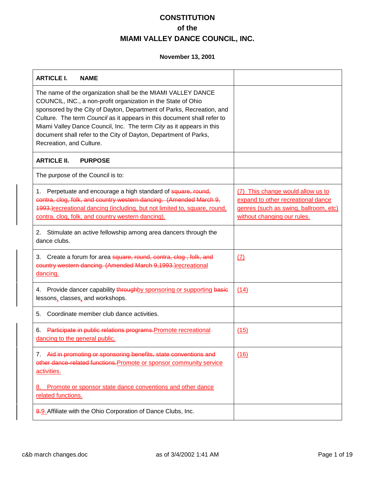| <b>ARTICLE I.</b><br><b>NAME</b>                                                                                                                                                                                                                                                                                                                                                                                                                          |                                                                                                                                                 |
|-----------------------------------------------------------------------------------------------------------------------------------------------------------------------------------------------------------------------------------------------------------------------------------------------------------------------------------------------------------------------------------------------------------------------------------------------------------|-------------------------------------------------------------------------------------------------------------------------------------------------|
| The name of the organization shall be the MIAMI VALLEY DANCE<br>COUNCIL, INC., a non-profit organization in the State of Ohio<br>sponsored by the City of Dayton, Department of Parks, Recreation, and<br>Culture. The term Council as it appears in this document shall refer to<br>Miami Valley Dance Council, Inc. The term City as it appears in this<br>document shall refer to the City of Dayton, Department of Parks,<br>Recreation, and Culture. |                                                                                                                                                 |
| <b>ARTICLE II.</b><br><b>PURPOSE</b>                                                                                                                                                                                                                                                                                                                                                                                                                      |                                                                                                                                                 |
| The purpose of the Council is to:                                                                                                                                                                                                                                                                                                                                                                                                                         |                                                                                                                                                 |
| Perpetuate and encourage a high standard of square, round,<br>1.<br>contra, clog, folk, and country western dancing. (Amended March 9,<br>4993.) recreational dancing (including, but not limited to, square, round,<br>contra, clog, folk, and country western dancing).                                                                                                                                                                                 | (7) This change would allow us to<br>expand to other recreational dance<br>genres (such as swing, ballroom, etc)<br>without changing our rules. |
| Stimulate an active fellowship among area dancers through the<br>2.<br>dance clubs.                                                                                                                                                                                                                                                                                                                                                                       |                                                                                                                                                 |
| 3. Create a forum for area square, round, contra, clog, folk, and<br>country western dancing. (Amended March 9,1993.) recreational<br>dancing.                                                                                                                                                                                                                                                                                                            | (7)                                                                                                                                             |
| Provide dancer capability throughby sponsoring or supporting basic<br>4.<br>lessons, classes, and workshops.                                                                                                                                                                                                                                                                                                                                              | (14)                                                                                                                                            |
| Coordinate member club dance activities.<br>5.                                                                                                                                                                                                                                                                                                                                                                                                            |                                                                                                                                                 |
| Participate in public relations programs. Promote recreational<br>6.<br>dancing to the general public.                                                                                                                                                                                                                                                                                                                                                    | (15)                                                                                                                                            |
| Aid in promoting or sponsoring benefits, state conventions and<br>7.<br>other dance-related functions. Promote or sponsor community service<br>activities.                                                                                                                                                                                                                                                                                                | (16)                                                                                                                                            |
| Promote or sponsor state dance conventions and other dance<br>8.<br>related functions.                                                                                                                                                                                                                                                                                                                                                                    |                                                                                                                                                 |
| 8.9. Affiliate with the Ohio Corporation of Dance Clubs, Inc.                                                                                                                                                                                                                                                                                                                                                                                             |                                                                                                                                                 |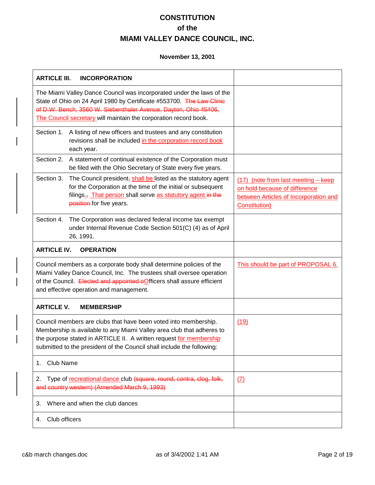| <b>ARTICLE III.</b><br><b>INCORPORATION</b>                                                                                                                                                                                                                                              |                                                                                                                                        |
|------------------------------------------------------------------------------------------------------------------------------------------------------------------------------------------------------------------------------------------------------------------------------------------|----------------------------------------------------------------------------------------------------------------------------------------|
| The Miami Valley Dance Council was incorporated under the laws of the<br>State of Ohio on 24 April 1980 by Certificate #553700. The Law Clinic<br>of D.W. Bench, 3560 W. Siebenthaler Avenue, Dayton, Ohio 45406,<br>The Council secretary will maintain the corporation record book.    |                                                                                                                                        |
| A listing of new officers and trustees and any constitution<br>Section 1.<br>revisions shall be included in the corporation record book<br>each year.                                                                                                                                    |                                                                                                                                        |
| Section 2.<br>A statement of continual existence of the Corporation must<br>be filed with the Ohio Secretary of State every five years.                                                                                                                                                  |                                                                                                                                        |
| Section 3.<br>The Council president, shall be listed as the statutory agent<br>for the Corporation at the time of the initial or subsequent<br>filings <sub>5</sub> That person shall serve as statutory agent in the<br>position-for five years.                                        | (17) (note from last meeting - keep<br>on hold because of difference<br>between Articles of Incorporation and<br><b>Constitution</b> ) |
| Section 4.<br>The Corporation was declared federal income tax exempt<br>under Internal Revenue Code Section 501(C) (4) as of April<br>26, 1991.                                                                                                                                          |                                                                                                                                        |
| <b>ARTICLE IV.</b><br><b>OPERATION</b>                                                                                                                                                                                                                                                   |                                                                                                                                        |
| Council members as a corporate body shall determine policies of the<br>Miami Valley Dance Council, Inc. The trustees shall oversee operation<br>of the Council. Elected and appointed oOfficers shall assure efficient<br>and effective operation and management.                        | This should be part of PROPOSAL 6.                                                                                                     |
| <b>ARTICLE V.</b><br><b>MEMBERSHIP</b>                                                                                                                                                                                                                                                   |                                                                                                                                        |
| Council members are clubs that have been voted into membership.<br>Membership is available to any Miami Valley area club that adheres to<br>the purpose stated in ARTICLE II. A written request for membership<br>submitted to the president of the Council shall include the following: | (19)                                                                                                                                   |
| <b>Club Name</b><br>1.                                                                                                                                                                                                                                                                   |                                                                                                                                        |
| Type of recreational dance club (square, round, contra, clog, folk,<br>2.<br>and country western) (Amended March 9, 1993)                                                                                                                                                                | $\sqrt{(7)}$                                                                                                                           |
| Where and when the club dances<br>3.                                                                                                                                                                                                                                                     |                                                                                                                                        |
| Club officers<br>4.                                                                                                                                                                                                                                                                      |                                                                                                                                        |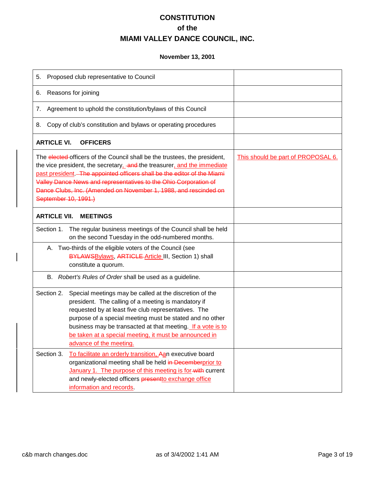| Proposed club representative to Council<br>5.                                                                                                                                                                                                                                                                                                                                                        |                                    |
|------------------------------------------------------------------------------------------------------------------------------------------------------------------------------------------------------------------------------------------------------------------------------------------------------------------------------------------------------------------------------------------------------|------------------------------------|
| Reasons for joining<br>6.                                                                                                                                                                                                                                                                                                                                                                            |                                    |
| Agreement to uphold the constitution/bylaws of this Council<br>7.                                                                                                                                                                                                                                                                                                                                    |                                    |
| Copy of club's constitution and bylaws or operating procedures<br>8.                                                                                                                                                                                                                                                                                                                                 |                                    |
| <b>ARTICLE VI.</b><br><b>OFFICERS</b>                                                                                                                                                                                                                                                                                                                                                                |                                    |
| The elected officers of the Council shall be the trustees, the president,<br>the vice president, the secretary, and the treasurer, and the immediate<br>past president . The appointed officers shall be the editor of the Miami<br>Valley Dance News and representatives to the Ohio Corporation of<br>Dance Clubs, Inc. (Amended on November 1, 1988, and rescinded on<br>September 10, 1991.)     | This should be part of PROPOSAL 6. |
| <b>ARTICLE VII.</b><br><b>MEETINGS</b>                                                                                                                                                                                                                                                                                                                                                               |                                    |
| The regular business meetings of the Council shall be held<br>Section 1.<br>on the second Tuesday in the odd-numbered months.                                                                                                                                                                                                                                                                        |                                    |
| A. Two-thirds of the eligible voters of the Council (see<br>BYLAWSBylaws, ARTICLE-Article III, Section 1) shall<br>constitute a quorum.                                                                                                                                                                                                                                                              |                                    |
| Robert's Rules of Order shall be used as a guideline.<br>В.                                                                                                                                                                                                                                                                                                                                          |                                    |
| Section 2.<br>Special meetings may be called at the discretion of the<br>president. The calling of a meeting is mandatory if<br>requested by at least five club representatives. The<br>purpose of a special meeting must be stated and no other<br>business may be transacted at that meeting. If a vote is to<br>be taken at a special meeting, it must be announced in<br>advance of the meeting. |                                    |
| Section 3.<br>To facilitate an orderly transition, Aan executive board                                                                                                                                                                                                                                                                                                                               |                                    |
| organizational meeting shall be held in Decemberprior to<br>January 1. The purpose of this meeting is for-with current<br>and newly-elected officers presentto exchange office<br>information and records                                                                                                                                                                                            |                                    |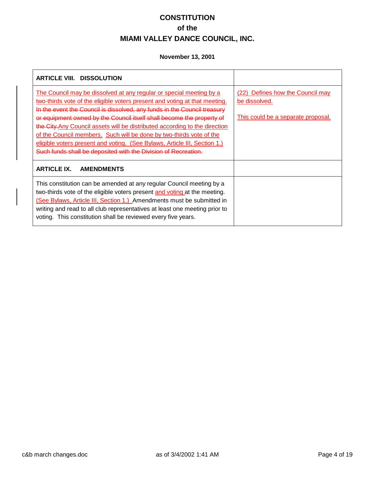| <b>ARTICLE VIII. DISSOLUTION</b>                                                                                                                                                                                                                                                                                                                                                                                                                                                                                                                                                                            |                                                                                         |
|-------------------------------------------------------------------------------------------------------------------------------------------------------------------------------------------------------------------------------------------------------------------------------------------------------------------------------------------------------------------------------------------------------------------------------------------------------------------------------------------------------------------------------------------------------------------------------------------------------------|-----------------------------------------------------------------------------------------|
| The Council may be dissolved at any regular or special meeting by a<br>two-thirds vote of the eligible voters present and voting at that meeting.<br>In the event the Council is dissolved, any funds in the Council treasury<br>or equipment owned by the Council itself shall become the property of<br>the City. Any Council assets will be distributed according to the direction<br>of the Council members. Such will be done by two-thirds vote of the<br>eligible voters present and voting. (See Bylaws, Article III, Section 1.)<br>Such funds shall be deposited with the Division of Recreation. | (22) Defines how the Council may<br>be dissolved.<br>This could be a separate proposal. |
| <b>ARTICLE IX.</b><br><b>AMENDMENTS</b>                                                                                                                                                                                                                                                                                                                                                                                                                                                                                                                                                                     |                                                                                         |
| This constitution can be amended at any regular Council meeting by a<br>two-thirds vote of the eligible voters present and voting at the meeting.<br>(See Bylaws, Article III, Section 1.) Amendments must be submitted in<br>writing and read to all club representatives at least one meeting prior to<br>voting. This constitution shall be reviewed every five years.                                                                                                                                                                                                                                   |                                                                                         |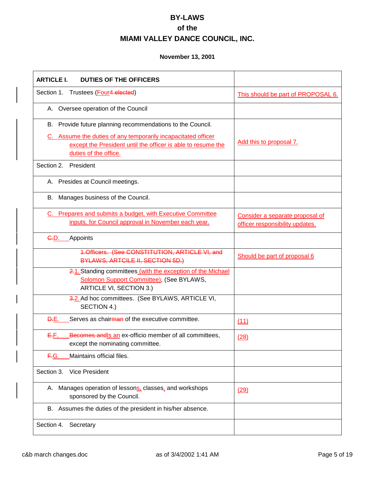| <b>ARTICLE I.</b><br><b>DUTIES OF THE OFFICERS</b>                                                                                                                                                                   |                                                                    |
|----------------------------------------------------------------------------------------------------------------------------------------------------------------------------------------------------------------------|--------------------------------------------------------------------|
| Section 1. Trustees (Four4 elected)                                                                                                                                                                                  | This should be part of PROPOSAL 6.                                 |
| A. Oversee operation of the Council                                                                                                                                                                                  |                                                                    |
| B. Provide future planning recommendations to the Council.<br>C. Assume the duties of any temporarily incapacitated officer<br>except the President until the officer is able to resume the<br>duties of the office. | Add this to proposal 7.                                            |
| Section 2.<br>President                                                                                                                                                                                              |                                                                    |
| A. Presides at Council meetings.                                                                                                                                                                                     |                                                                    |
| B. Manages business of the Council.                                                                                                                                                                                  |                                                                    |
| C. Prepares and submits a budget, with Executive Committee<br>inputs, for Council approval in November each year.                                                                                                    | Consider a separate proposal of<br>officer responsibility updates. |
| <del>C.</del> D.<br>Appoints                                                                                                                                                                                         |                                                                    |
| <b>1.Officers. (See CONSTITUTION, ARTICLE VI, and</b><br>BYLAWS, ARTCILE II, SECTION 5D.)                                                                                                                            | Should be part of proposal 6                                       |
| 2.1. Standing committees (with the exception of the Michael<br>Solomon Support Committee), (See BYLAWS,<br>ARTICLE VI, SECTION 3.)                                                                                   |                                                                    |
| 3.2. Ad hoc committees. (See BYLAWS, ARTICLE VI,<br>SECTION 4.)                                                                                                                                                      |                                                                    |
| Serves as chairman of the executive committee.<br><b>D.E.</b>                                                                                                                                                        | (11)                                                               |
| Becomes andls an ex-officio member of all committees,<br>EF.<br>except the nominating committee.                                                                                                                     | (28)                                                               |
| Maintains official files.<br><del>F.</del> G.                                                                                                                                                                        |                                                                    |
| Section 3.<br><b>Vice President</b>                                                                                                                                                                                  |                                                                    |
| A. Manages operation of lessons, classes, and workshops<br>sponsored by the Council.                                                                                                                                 | (29)                                                               |
| B. Assumes the duties of the president in his/her absence.                                                                                                                                                           |                                                                    |
| Secretary<br>Section 4.                                                                                                                                                                                              |                                                                    |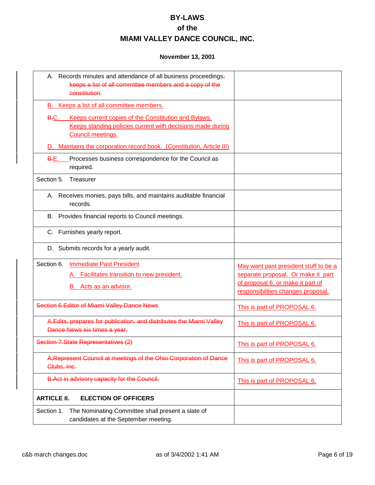| A. Records minutes and attendance of all business proceedings;<br>keeps a list of all committee members and a copy of the<br>constitution.                  |                                                                                                                                                        |
|-------------------------------------------------------------------------------------------------------------------------------------------------------------|--------------------------------------------------------------------------------------------------------------------------------------------------------|
| B. Keeps a list of all committee members.                                                                                                                   |                                                                                                                                                        |
| Keeps current copies of the Constitution and Bylaws.<br><del>B.</del> C.<br>Keeps standing policies current with decisions made during<br>Council meetings. |                                                                                                                                                        |
| D. Maintains the corporation record book. (Constitution, Article III)                                                                                       |                                                                                                                                                        |
| <b>B.E.</b><br>Processes business correspondence for the Council as<br>required.                                                                            |                                                                                                                                                        |
| Section 5.<br>Treasurer                                                                                                                                     |                                                                                                                                                        |
| A. Receives monies, pays bills, and maintains auditable financial<br>records.                                                                               |                                                                                                                                                        |
| Provides financial reports to Council meetings.<br>В.                                                                                                       |                                                                                                                                                        |
| C. Furnishes yearly report.                                                                                                                                 |                                                                                                                                                        |
| D. Submits records for a yearly audit.                                                                                                                      |                                                                                                                                                        |
| Section 6.<br><b>Immediate Past President</b><br>A. Facilitates transition to new president.<br>B. Acts as an advisor.                                      | May want past president stuff to be a<br>separate proposal. Or make it part<br>of proposal 6, or make it part of<br>responsibilities changes proposal. |
| Section 6. Editor of Miami Valley Dance News                                                                                                                | This is part of PROPOSAL 6.                                                                                                                            |
| A.Edits, prepares for publication, and distributes the Miami Valley<br>Dance News six times a year.                                                         | This is part of PROPOSAL 6.                                                                                                                            |
| Section 7.State Representatives (2)                                                                                                                         | This is part of PROPOSAL 6.                                                                                                                            |
| A.Represent Council at meetings of the Ohio Corporation of Dance<br>Clubs, Inc.                                                                             | This is part of PROPOSAL 6.                                                                                                                            |
| B.Act in advisory capacity for the Council.                                                                                                                 | This is part of PROPOSAL 6.                                                                                                                            |
| <b>ARTICLE II.</b><br><b>ELECTION OF OFFICERS</b>                                                                                                           |                                                                                                                                                        |
| The Nominating Committee shall present a slate of<br>Section 1.<br>candidates at the September meeting.                                                     |                                                                                                                                                        |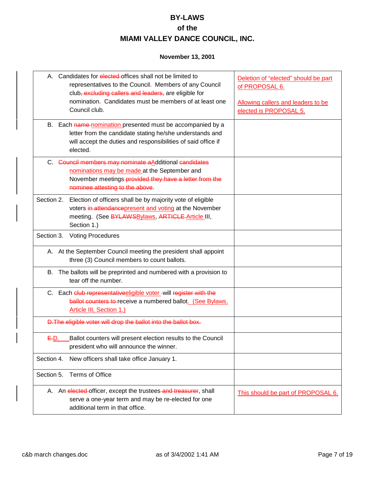| A. Candidates for elected offices shall not be limited to<br>representatives to the Council. Members of any Council<br>club, excluding callers and leaders, are eligible for<br>nomination. Candidates must be members of at least one<br>Council club. | Deletion of "elected" should be part<br>of PROPOSAL 6.<br>Allowing callers and leaders to be<br>elected is PROPOSAL 5. |
|---------------------------------------------------------------------------------------------------------------------------------------------------------------------------------------------------------------------------------------------------------|------------------------------------------------------------------------------------------------------------------------|
| B. Each name nomination presented must be accompanied by a<br>letter from the candidate stating he/she understands and<br>will accept the duties and responsibilities of said office if<br>elected.                                                     |                                                                                                                        |
| C. Council members may nominate aAdditional candidates<br>nominations may be made at the September and<br>November meetings-provided they have a letter from the<br>nominee attesting to the above.                                                     |                                                                                                                        |
| Section 2.<br>Election of officers shall be by majority vote of eligible<br>voters in attendancepresent and voting at the November<br>meeting. (See BYLAWSBylaws, ARTICLE-Article III,<br>Section 1.)                                                   |                                                                                                                        |
| Section 3.<br><b>Voting Procedures</b>                                                                                                                                                                                                                  |                                                                                                                        |
| A. At the September Council meeting the president shall appoint<br>three (3) Council members to count ballots.                                                                                                                                          |                                                                                                                        |
| B. The ballots will be preprinted and numbered with a provision to<br>tear off the number.                                                                                                                                                              |                                                                                                                        |
| C. Each club representative eligible voter-will register with the<br>ballot counters to receive a numbered ballot. (See Bylaws,<br>Article III, Section 1.)                                                                                             |                                                                                                                        |
| D. The eligible voter will drop the ballot into the ballot box.                                                                                                                                                                                         |                                                                                                                        |
| Ballot counters will present election results to the Council<br>E.D.<br>president who will announce the winner.                                                                                                                                         |                                                                                                                        |
| Section 4.<br>New officers shall take office January 1.                                                                                                                                                                                                 |                                                                                                                        |
| <b>Terms of Office</b><br>Section 5.                                                                                                                                                                                                                    |                                                                                                                        |
| A. An elected-officer, except the trustees-and treasurer, shall<br>serve a one-year term and may be re-elected for one<br>additional term in that office.                                                                                               | This should be part of PROPOSAL 6.                                                                                     |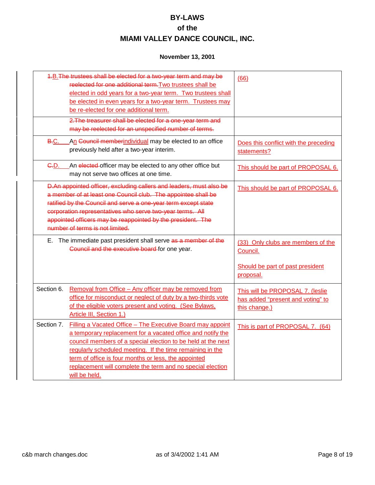|                  | 4.B. The trustees shall be elected for a two-year term and may be<br>reelected for one additional term. Two trustees shall be<br>elected in odd years for a two-year term. Two trustees shall<br>be elected in even years for a two-year term. Trustees may<br>be re-elected for one additional term.                                                                                         | (66)                                                                                            |
|------------------|-----------------------------------------------------------------------------------------------------------------------------------------------------------------------------------------------------------------------------------------------------------------------------------------------------------------------------------------------------------------------------------------------|-------------------------------------------------------------------------------------------------|
|                  | 2. The treasurer shall be elected for a one-year term and<br>may be reelected for an unspecified number of terms.                                                                                                                                                                                                                                                                             |                                                                                                 |
| <b>B.C.</b>      | An Council memberindividual may be elected to an office<br>previously held after a two-year interim.                                                                                                                                                                                                                                                                                          | Does this conflict with the preceding<br>statements?                                            |
| <del>C.</del> D. | An elected officer may be elected to any other office but<br>may not serve two offices at one time.                                                                                                                                                                                                                                                                                           | This should be part of PROPOSAL 6.                                                              |
|                  | D.An appointed officer, excluding callers and leaders, must also be<br>a member of at least one Council club. The appointee shall be<br>ratified by the Council and serve a one-year term except state<br>corporation representatives who serve two-year terms. All<br>appointed officers may be reappointed by the president. The<br>number of terms is not limited.                         | This should be part of PROPOSAL 6.                                                              |
|                  | E. The immediate past president shall serve as a member of the<br>Council and the executive board for one year.                                                                                                                                                                                                                                                                               | (33) Only clubs are members of the<br>Council.<br>Should be part of past president<br>proposal. |
| Section 6.       | Removal from Office - Any officer may be removed from<br>office for misconduct or neglect of duty by a two-thirds vote<br>of the eligible voters present and voting. (See Bylaws,<br>Article III, Section 1.)                                                                                                                                                                                 | This will be PROPOSAL 7. (leslie<br>has added "present and voting" to<br>this change.)          |
| Section 7.       | Filling a Vacated Office - The Executive Board may appoint<br>a temporary replacement for a vacated office and notify the<br>council members of a special election to be held at the next<br>regularly scheduled meeting. If the time remaining in the<br>term of office is four months or less, the appointed<br>replacement will complete the term and no special election<br>will be held. | This is part of PROPOSAL 7. (64)                                                                |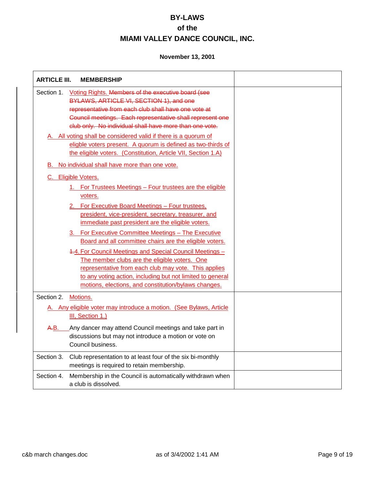| <b>ARTICLE III.</b><br><b>MEMBERSHIP</b>                                                                                                                                                                                                                                                                                                                                                                                                                                                    |  |
|---------------------------------------------------------------------------------------------------------------------------------------------------------------------------------------------------------------------------------------------------------------------------------------------------------------------------------------------------------------------------------------------------------------------------------------------------------------------------------------------|--|
| Voting Rights. Members of the executive board (see<br>Section 1.<br>BYLAWS, ARTICLE VI, SECTION 1), and one<br>representative from each club shall have one vote at<br>Council meetings. Each representative shall represent one<br>club only. No individual shall have more than one vote.                                                                                                                                                                                                 |  |
| A. All voting shall be considered valid if there is a quorum of<br>eligble voters present. A quorum is defined as two-thirds of<br>the eligible voters. (Constitution, Article VII, Section 1.A)                                                                                                                                                                                                                                                                                            |  |
| No individual shall have more than one vote.<br>В.                                                                                                                                                                                                                                                                                                                                                                                                                                          |  |
| C. Eligible Voters.<br>1. For Trustees Meetings - Four trustees are the eligible<br>voters.<br>2. For Executive Board Meetings - Four trustees.<br>president, vice-president, secretary, treasurer, and<br>immediate past president are the eligible voters.<br>3. For Executive Committee Meetings - The Executive<br>Board and all committee chairs are the eligible voters.<br>4.4. For Council Meetings and Special Council Meetings -<br>The member clubs are the eligible voters. One |  |
| representative from each club may vote. This applies<br>to any voting action, including but not limited to general<br>motions, elections, and constitution/bylaws changes.                                                                                                                                                                                                                                                                                                                  |  |
| Section 2.<br>Motions.                                                                                                                                                                                                                                                                                                                                                                                                                                                                      |  |
| A. Any eligible voter may introduce a motion. (See Bylaws, Article<br>III, Section 1.)                                                                                                                                                                                                                                                                                                                                                                                                      |  |
| Any dancer may attend Council meetings and take part in<br>A.B.<br>discussions but may not introduce a motion or vote on<br>Council business.                                                                                                                                                                                                                                                                                                                                               |  |
| Section 3.<br>Club representation to at least four of the six bi-monthly<br>meetings is required to retain membership.                                                                                                                                                                                                                                                                                                                                                                      |  |
| Section 4.<br>Membership in the Council is automatically withdrawn when<br>a club is dissolved.                                                                                                                                                                                                                                                                                                                                                                                             |  |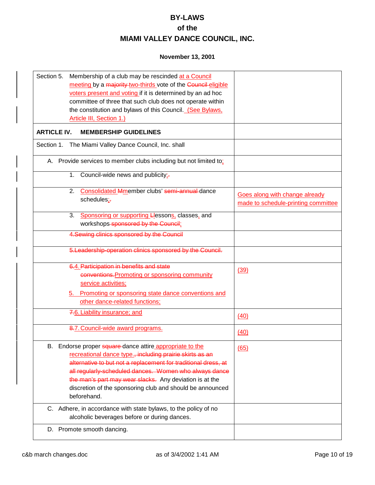| Section 5.<br>Membership of a club may be rescinded at a Council<br>meeting by a majority two-thirds vote of the Council eligible<br>voters present and voting if it is determined by an ad hoc<br>committee of three that such club does not operate within<br>the constitution and bylaws of this Council. (See Bylaws,<br>Article III, Section 1.)                                   |                                                                       |
|-----------------------------------------------------------------------------------------------------------------------------------------------------------------------------------------------------------------------------------------------------------------------------------------------------------------------------------------------------------------------------------------|-----------------------------------------------------------------------|
| <b>ARTICLE IV.</b><br><b>MEMBERSHIP GUIDELINES</b>                                                                                                                                                                                                                                                                                                                                      |                                                                       |
| The Miami Valley Dance Council, Inc. shall<br>Section 1.                                                                                                                                                                                                                                                                                                                                |                                                                       |
| A. Provide services to member clubs including but not limited to:                                                                                                                                                                                                                                                                                                                       |                                                                       |
| Council-wide news and publicity;-<br>1.                                                                                                                                                                                                                                                                                                                                                 |                                                                       |
| Consolidated Mmember clubs' semi-annual-dance<br>2.<br>schedules;-                                                                                                                                                                                                                                                                                                                      | Goes along with change already<br>made to schedule-printing committee |
| Sponsoring or supporting Llessons, classes, and<br>3.<br>workshops-sponsored by the Council;                                                                                                                                                                                                                                                                                            |                                                                       |
| 4. Sewing clinics sponsored by the Council                                                                                                                                                                                                                                                                                                                                              |                                                                       |
| 5. Leadership-operation clinics sponsored by the Council.                                                                                                                                                                                                                                                                                                                               |                                                                       |
| 6.4. Participation in benefits and state<br>conventions. Promoting or sponsoring community<br>service activities;<br>5. Promoting or sponsoring state dance conventions and                                                                                                                                                                                                             | (39)                                                                  |
| other dance-related functions;                                                                                                                                                                                                                                                                                                                                                          |                                                                       |
| 7.6. Liability insurance; and                                                                                                                                                                                                                                                                                                                                                           | (40)                                                                  |
| 8.7. Council-wide award programs.                                                                                                                                                                                                                                                                                                                                                       | (40)                                                                  |
| B. Endorse proper square-dance attire appropriate to the<br>recreational dance type., including prairie skirts as an<br>alternative to but not a replacement for traditional dress, at<br>all regularly-scheduled dances. Women who always dance<br>the man's part may wear slacks. Any deviation is at the<br>discretion of the sponsoring club and should be announced<br>beforehand. | (65)                                                                  |
| C. Adhere, in accordance with state bylaws, to the policy of no<br>alcoholic beverages before or during dances.                                                                                                                                                                                                                                                                         |                                                                       |
| D. Promote smooth dancing.                                                                                                                                                                                                                                                                                                                                                              |                                                                       |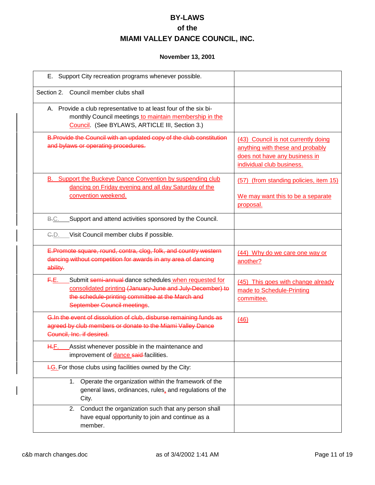| Support City recreation programs whenever possible.<br>Е.                                                                                                                                                     |                                                                                                                                       |
|---------------------------------------------------------------------------------------------------------------------------------------------------------------------------------------------------------------|---------------------------------------------------------------------------------------------------------------------------------------|
| Section 2. Council member clubs shall                                                                                                                                                                         |                                                                                                                                       |
| A. Provide a club representative to at least four of the six bi-<br>monthly Council meetings to maintain membership in the<br>Council. (See BYLAWS, ARTICLE III, Section 3.)                                  |                                                                                                                                       |
| B. Provide the Council with an updated copy of the club constitution<br>and bylaws or operating procedures.                                                                                                   | (43) Council is not currently doing<br>anything with these and probably<br>does not have any business in<br>individual club business. |
| <b>B.</b> Support the Buckeye Dance Convention by suspending club<br>dancing on Friday evening and all day Saturday of the<br>convention weekend.                                                             | (57) (from standing policies, item 15)<br>We may want this to be a separate<br>proposal.                                              |
| B.C.<br>Support and attend activities sponsored by the Council.                                                                                                                                               |                                                                                                                                       |
| C.D. Visit Council member clubs if possible.                                                                                                                                                                  |                                                                                                                                       |
| E.Promote square, round, contra, clog, folk, and country western<br>dancing without competition for awards in any area of dancing<br>ability.                                                                 | (44) Why do we care one way or<br>another?                                                                                            |
| Submit semi-annual dance schedules when requested for<br>F.E.<br>consolidated printing (January-June and July-December) to<br>the schedule-printing committee at the March and<br>September Council meetings. | (45) This goes with change already<br>made to Schedule-Printing<br>committee.                                                         |
| G.In the event of dissolution of club, disburse remaining funds as<br>agreed by club members or donate to the Miami Valley Dance<br>Council, Inc. if desired.                                                 | (46)                                                                                                                                  |
| Assist whenever possible in the maintenance and<br>H.F.<br>improvement of <b>dance said</b> -facilities.                                                                                                      |                                                                                                                                       |
| <b>H.G.</b> For those clubs using facilities owned by the City:                                                                                                                                               |                                                                                                                                       |
| Operate the organization within the framework of the<br>1.<br>general laws, ordinances, rules, and regulations of the<br>City.                                                                                |                                                                                                                                       |
| Conduct the organization such that any person shall<br>2.<br>have equal opportunity to join and continue as a<br>member.                                                                                      |                                                                                                                                       |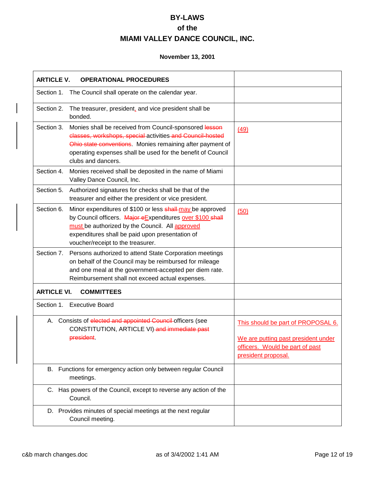| <b>ARTICLE V.</b>  | <b>OPERATIONAL PROCEDURES</b>                                                                                                                                                                                                                                         |                                                                                                                                     |
|--------------------|-----------------------------------------------------------------------------------------------------------------------------------------------------------------------------------------------------------------------------------------------------------------------|-------------------------------------------------------------------------------------------------------------------------------------|
| Section 1.         | The Council shall operate on the calendar year.                                                                                                                                                                                                                       |                                                                                                                                     |
| Section 2.         | The treasurer, president, and vice president shall be<br>bonded.                                                                                                                                                                                                      |                                                                                                                                     |
| Section 3.         | Monies shall be received from Council-sponsored lesson<br>classes, workshops, special activities and Council-hosted<br>Ohio state conventions. Monies remaining after payment of<br>operating expenses shall be used for the benefit of Council<br>clubs and dancers. | (49)                                                                                                                                |
| Section 4.         | Monies received shall be deposited in the name of Miami<br>Valley Dance Council, Inc.                                                                                                                                                                                 |                                                                                                                                     |
| Section 5.         | Authorized signatures for checks shall be that of the<br>treasurer and either the president or vice president.                                                                                                                                                        |                                                                                                                                     |
| Section 6.         | Minor expenditures of \$100 or less shall-may be approved<br>by Council officers. Major eExpenditures over \$100 shall<br>must be authorized by the Council. All approved<br>expenditures shall be paid upon presentation of<br>voucher/receipt to the treasurer.     | (50)                                                                                                                                |
| Section 7.         | Persons authorized to attend State Corporation meetings<br>on behalf of the Council may be reimbursed for mileage<br>and one meal at the government-accepted per diem rate.<br>Reimbursement shall not exceed actual expenses.                                        |                                                                                                                                     |
| <b>ARTICLE VI.</b> | <b>COMMITTEES</b>                                                                                                                                                                                                                                                     |                                                                                                                                     |
|                    | Section 1. Executive Board                                                                                                                                                                                                                                            |                                                                                                                                     |
|                    | A. Consists of elected and appointed Council officers (see<br>CONSTITUTION, ARTICLE VI)-and immediate past<br>president.                                                                                                                                              | This should be part of PROPOSAL 6.<br>We are putting past president under<br>officers. Would be part of past<br>president proposal. |
|                    | B. Functions for emergency action only between regular Council<br>meetings.                                                                                                                                                                                           |                                                                                                                                     |
|                    | C. Has powers of the Council, except to reverse any action of the<br>Council.                                                                                                                                                                                         |                                                                                                                                     |
|                    | D. Provides minutes of special meetings at the next regular<br>Council meeting.                                                                                                                                                                                       |                                                                                                                                     |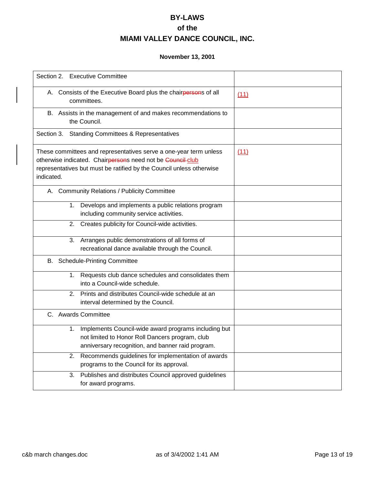| Section 2. Executive Committee                                                                                                                                                                                        |      |
|-----------------------------------------------------------------------------------------------------------------------------------------------------------------------------------------------------------------------|------|
| A. Consists of the Executive Board plus the chairpersons of all<br>committees.                                                                                                                                        | (11) |
| B. Assists in the management of and makes recommendations to<br>the Council.                                                                                                                                          |      |
| Section 3. Standing Committees & Representatives                                                                                                                                                                      |      |
| These committees and representatives serve a one-year term unless<br>otherwise indicated. Chairpersons need not be Council-club<br>representatives but must be ratified by the Council unless otherwise<br>indicated. | (11) |
| A. Community Relations / Publicity Committee                                                                                                                                                                          |      |
| Develops and implements a public relations program<br>1.<br>including community service activities.                                                                                                                   |      |
| Creates publicity for Council-wide activities.<br>2.                                                                                                                                                                  |      |
| Arranges public demonstrations of all forms of<br>3.<br>recreational dance available through the Council.                                                                                                             |      |
| B. Schedule-Printing Committee                                                                                                                                                                                        |      |
| 1. Requests club dance schedules and consolidates them<br>into a Council-wide schedule.                                                                                                                               |      |
| Prints and distributes Council-wide schedule at an<br>2.<br>interval determined by the Council.                                                                                                                       |      |
| C. Awards Committee                                                                                                                                                                                                   |      |
| Implements Council-wide award programs including but<br>1.<br>not limited to Honor Roll Dancers program, club<br>anniversary recognition, and banner raid program.                                                    |      |
| Recommends guidelines for implementation of awards<br>2.<br>programs to the Council for its approval.                                                                                                                 |      |
| Publishes and distributes Council approved guidelines<br>3.<br>for award programs.                                                                                                                                    |      |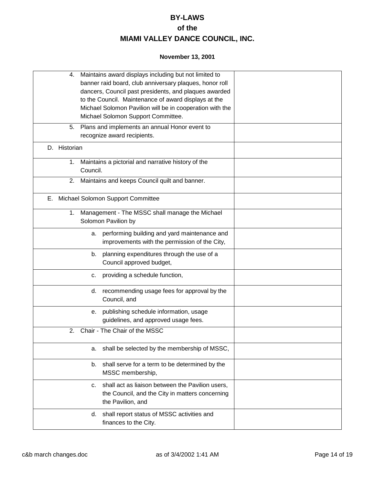|    | 4.           | Maintains award displays including but not limited to<br>banner raid board, club anniversary plaques, honor roll<br>dancers, Council past presidents, and plaques awarded<br>to the Council. Maintenance of award displays at the<br>Michael Solomon Pavilion will be in cooperation with the<br>Michael Solomon Support Committee.<br>5. Plans and implements an annual Honor event to |  |
|----|--------------|-----------------------------------------------------------------------------------------------------------------------------------------------------------------------------------------------------------------------------------------------------------------------------------------------------------------------------------------------------------------------------------------|--|
|    |              | recognize award recipients.                                                                                                                                                                                                                                                                                                                                                             |  |
|    | D. Historian |                                                                                                                                                                                                                                                                                                                                                                                         |  |
|    |              | 1. Maintains a pictorial and narrative history of the<br>Council.                                                                                                                                                                                                                                                                                                                       |  |
|    |              | 2. Maintains and keeps Council quilt and banner.                                                                                                                                                                                                                                                                                                                                        |  |
| Е. |              | Michael Solomon Support Committee                                                                                                                                                                                                                                                                                                                                                       |  |
|    | 1.           | Management - The MSSC shall manage the Michael<br>Solomon Pavilion by                                                                                                                                                                                                                                                                                                                   |  |
|    |              | performing building and yard maintenance and<br>а.<br>improvements with the permission of the City,                                                                                                                                                                                                                                                                                     |  |
|    |              | planning expenditures through the use of a<br>b.<br>Council approved budget,                                                                                                                                                                                                                                                                                                            |  |
|    |              | providing a schedule function,<br>c.                                                                                                                                                                                                                                                                                                                                                    |  |
|    |              | recommending usage fees for approval by the<br>d.<br>Council, and                                                                                                                                                                                                                                                                                                                       |  |
|    |              | publishing schedule information, usage<br>е.<br>guidelines, and approved usage fees.                                                                                                                                                                                                                                                                                                    |  |
|    | 2.           | Chair - The Chair of the MSSC                                                                                                                                                                                                                                                                                                                                                           |  |
|    |              | shall be selected by the membership of MSSC,<br>а.                                                                                                                                                                                                                                                                                                                                      |  |
|    |              | shall serve for a term to be determined by the<br>b.<br>MSSC membership,                                                                                                                                                                                                                                                                                                                |  |
|    |              | shall act as liaison between the Pavilion users,<br>c.<br>the Council, and the City in matters concerning<br>the Pavilion, and                                                                                                                                                                                                                                                          |  |
|    |              | shall report status of MSSC activities and<br>d.<br>finances to the City.                                                                                                                                                                                                                                                                                                               |  |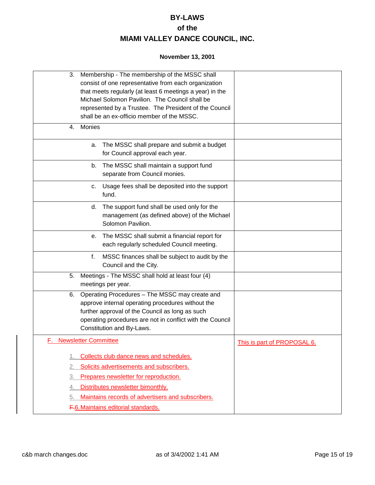| 3.       | Membership - The membership of the MSSC shall<br>consist of one representative from each organization<br>that meets regularly (at least 6 meetings a year) in the<br>Michael Solomon Pavilion. The Council shall be<br>represented by a Trustee. The President of the Council |                             |
|----------|-------------------------------------------------------------------------------------------------------------------------------------------------------------------------------------------------------------------------------------------------------------------------------|-----------------------------|
|          | shall be an ex-officio member of the MSSC.                                                                                                                                                                                                                                    |                             |
| 4.       | Monies                                                                                                                                                                                                                                                                        |                             |
|          | The MSSC shall prepare and submit a budget<br>а.<br>for Council approval each year.                                                                                                                                                                                           |                             |
|          | The MSSC shall maintain a support fund<br>b.<br>separate from Council monies.                                                                                                                                                                                                 |                             |
|          | Usage fees shall be deposited into the support<br>С.<br>fund.                                                                                                                                                                                                                 |                             |
|          | d. The support fund shall be used only for the<br>management (as defined above) of the Michael<br>Solomon Pavilion.                                                                                                                                                           |                             |
|          | The MSSC shall submit a financial report for<br>е.<br>each regularly scheduled Council meeting.                                                                                                                                                                               |                             |
|          | MSSC finances shall be subject to audit by the<br>f.<br>Council and the City.                                                                                                                                                                                                 |                             |
| 5.       | Meetings - The MSSC shall hold at least four (4)<br>meetings per year.                                                                                                                                                                                                        |                             |
|          | 6. Operating Procedures - The MSSC may create and<br>approve internal operating procedures without the<br>further approval of the Council as long as such<br>operating procedures are not in conflict with the Council<br>Constitution and By-Laws.                           |                             |
|          | <b>Newsletter Committee</b>                                                                                                                                                                                                                                                   | This is part of PROPOSAL 6. |
| 1.<br>2. | Collects club dance news and schedules.<br>Solicits advertisements and subscribers.                                                                                                                                                                                           |                             |
|          | Prepares newsletter for reproduction.                                                                                                                                                                                                                                         |                             |
| 4.       | Distributes newsletter bimonthly.                                                                                                                                                                                                                                             |                             |
| 5.       | Maintains records of advertisers and subscribers.                                                                                                                                                                                                                             |                             |
|          | F.6. Maintains editorial standards.                                                                                                                                                                                                                                           |                             |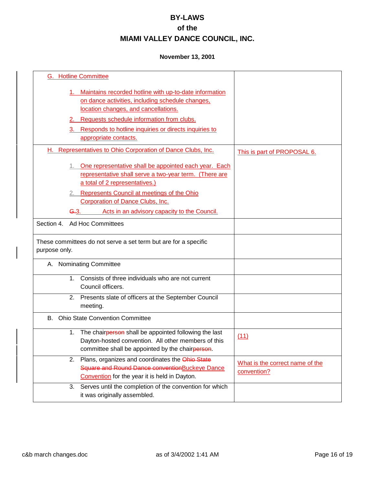| <b>G.</b> Hotline Committee                                                                                                                                                                                                                      |                                                |
|--------------------------------------------------------------------------------------------------------------------------------------------------------------------------------------------------------------------------------------------------|------------------------------------------------|
| 1. Maintains recorded hotline with up-to-date information<br>on dance activities, including schedule changes,<br>location changes, and cancellations.<br>2. Requests schedule information from clubs.                                            |                                                |
| 3. Responds to hotline inquiries or directs inquiries to<br>appropriate contacts.                                                                                                                                                                |                                                |
| H. Representatives to Ohio Corporation of Dance Clubs, Inc.                                                                                                                                                                                      | This is part of PROPOSAL 6.                    |
| 1. One representative shall be appointed each year. Each<br>representative shall serve a two-year term. (There are<br>a total of 2 representatives.)<br>2. Represents Council at meetings of the Ohio<br><b>Corporation of Dance Clubs, Inc.</b> |                                                |
| $-3.$<br>Acts in an advisory capacity to the Council.                                                                                                                                                                                            |                                                |
| Ad Hoc Committees<br>Section 4.                                                                                                                                                                                                                  |                                                |
| These committees do not serve a set term but are for a specific<br>purpose only.                                                                                                                                                                 |                                                |
| A. Nominating Committee                                                                                                                                                                                                                          |                                                |
| Consists of three individuals who are not current<br>1.<br>Council officers.                                                                                                                                                                     |                                                |
| 2. Presents slate of officers at the September Council<br>meeting.                                                                                                                                                                               |                                                |
| B. Ohio State Convention Committee                                                                                                                                                                                                               |                                                |
| The chairperson shall be appointed following the last<br>1.<br>Dayton-hosted convention. All other members of this<br>committee shall be appointed by the chairperson.                                                                           | (11)                                           |
| Plans, organizes and coordinates the Ohio State<br>2.<br>Square and Round Dance conventionBuckeye Dance<br>Convention for the year it is held in Dayton.                                                                                         | What is the correct name of the<br>convention? |
| Serves until the completion of the convention for which<br>3.<br>it was originally assembled.                                                                                                                                                    |                                                |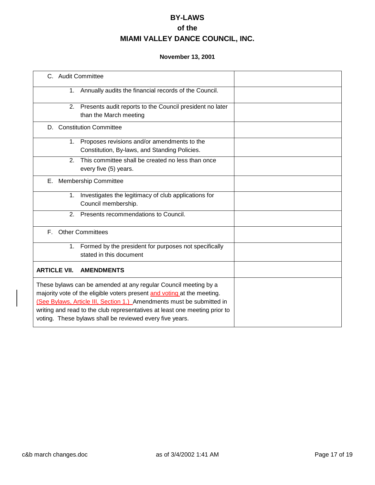| C. Audit Committee  |                |                                                                                                                                                                                                                                                                                                                                                               |  |
|---------------------|----------------|---------------------------------------------------------------------------------------------------------------------------------------------------------------------------------------------------------------------------------------------------------------------------------------------------------------------------------------------------------------|--|
|                     | 1.             | Annually audits the financial records of the Council.                                                                                                                                                                                                                                                                                                         |  |
|                     |                | 2. Presents audit reports to the Council president no later<br>than the March meeting                                                                                                                                                                                                                                                                         |  |
|                     |                | D. Constitution Committee                                                                                                                                                                                                                                                                                                                                     |  |
|                     |                | 1. Proposes revisions and/or amendments to the<br>Constitution, By-laws, and Standing Policies.                                                                                                                                                                                                                                                               |  |
|                     | $\mathcal{P}$  | This committee shall be created no less than once<br>every five (5) years.                                                                                                                                                                                                                                                                                    |  |
| Е.                  |                | <b>Membership Committee</b>                                                                                                                                                                                                                                                                                                                                   |  |
|                     | 1.             | Investigates the legitimacy of club applications for<br>Council membership.                                                                                                                                                                                                                                                                                   |  |
|                     | 2 <sub>1</sub> | Presents recommendations to Council.                                                                                                                                                                                                                                                                                                                          |  |
| F.                  |                | <b>Other Committees</b>                                                                                                                                                                                                                                                                                                                                       |  |
|                     |                | 1. Formed by the president for purposes not specifically<br>stated in this document                                                                                                                                                                                                                                                                           |  |
| <b>ARTICLE VII.</b> |                | <b>AMENDMENTS</b>                                                                                                                                                                                                                                                                                                                                             |  |
|                     |                | These bylaws can be amended at any regular Council meeting by a<br>majority vote of the eligible voters present and voting at the meeting.<br>(See Bylaws, Article III, Section 1.) Amendments must be submitted in<br>writing and read to the club representatives at least one meeting prior to<br>voting. These bylaws shall be reviewed every five years. |  |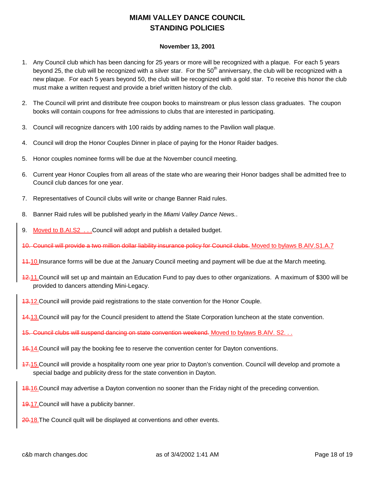### **MIAMI VALLEY DANCE COUNCIL STANDING POLICIES**

- 1. Any Council club which has been dancing for 25 years or more will be recognized with a plaque. For each 5 years beyond 25, the club will be recognized with a silver star. For the  $50<sup>th</sup>$  anniversary, the club will be recognized with a new plaque. For each 5 years beyond 50, the club will be recognized with a gold star. To receive this honor the club must make a written request and provide a brief written history of the club.
- 2. The Council will print and distribute free coupon books to mainstream or plus lesson class graduates. The coupon books will contain coupons for free admissions to clubs that are interested in participating.
- 3. Council will recognize dancers with 100 raids by adding names to the Pavilion wall plaque.
- 4. Council will drop the Honor Couples Dinner in place of paying for the Honor Raider badges.
- 5. Honor couples nominee forms will be due at the November council meeting.
- 6. Current year Honor Couples from all areas of the state who are wearing their Honor badges shall be admitted free to Council club dances for one year.
- 7. Representatives of Council clubs will write or change Banner Raid rules.
- 8. Banner Raid rules will be published yearly in the *Miami Valley Dance News.*.
- 9. Moved to B.AI.S2 . . .Council will adopt and publish a detailed budget.
- 10. Council will provide a two million dollar liability insurance policy for Council clubs. Moved to bylaws B.AIV.S1.A.7
- 11.10.Insurance forms will be due at the January Council meeting and payment will be due at the March meeting.
- 12.11.Council will set up and maintain an Education Fund to pay dues to other organizations. A maximum of \$300 will be provided to dancers attending Mini-Legacy.
- 13.12.Council will provide paid registrations to the state convention for the Honor Couple.
- 14.13.Council will pay for the Council president to attend the State Corporation luncheon at the state convention.
- 15. Council clubs will suspend dancing on state convention weekend. Moved to bylaws B.AIV. S2. . .
- 16.14.Council will pay the booking fee to reserve the convention center for Dayton conventions.
- 47.15. Council will provide a hospitality room one year prior to Dayton's convention. Council will develop and promote a special badge and publicity dress for the state convention in Dayton.
- 18.16.Council may advertise a Dayton convention no sooner than the Friday night of the preceding convention.
- 19.17.Council will have a publicity banner.
- 20.18. The Council quilt will be displayed at conventions and other events.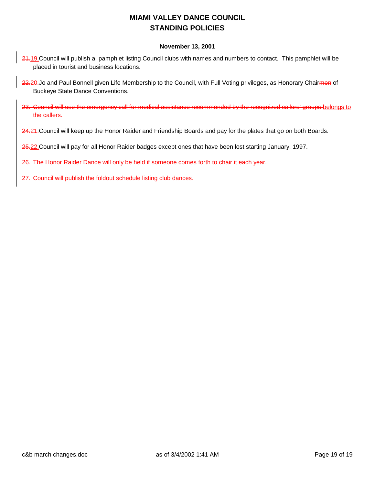### **MIAMI VALLEY DANCE COUNCIL STANDING POLICIES**

#### **November 13, 2001**

- 24.19. Council will publish a pamphlet listing Council clubs with names and numbers to contact. This pamphlet will be placed in tourist and business locations.
- 22.20.Jo and Paul Bonnell given Life Membership to the Council, with Full Voting privileges, as Honorary Chairmen of Buckeye State Dance Conventions.
- 23. Council will use the emergency call for medical assistance recommended by the recognized callers' groups.belongs to the callers.
- 24.21. Council will keep up the Honor Raider and Friendship Boards and pay for the plates that go on both Boards.

25.22.Council will pay for all Honor Raider badges except ones that have been lost starting January, 1997.

26. The Honor Raider Dance will only be held if someone comes forth to chair it each year.

27. Council will publish the foldout schedule listing club dances.